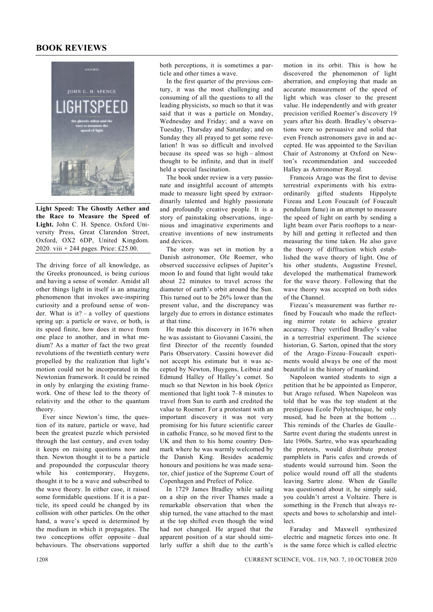## **BOOK REVIEWS**



**Light Speed: The Ghostly Aether and the Race to Measure the Speed of Light.** John C. H. Spence. Oxford University Press, Great Clarendon Street, Oxford, OX2 6DP, United Kingdom. 2020. viii + 244 pages. Price: £25.00.

The driving force of all knowledge, as the Greeks pronounced, is being curious and having a sense of wonder. Amidst all other things light in itself is an amazing phenomenon that invokes awe-inspiring curiosity and a profound sense of wonder. What is it? – a volley of questions spring up: a particle or wave, or both, is its speed finite, how does it move from one place to another, and in what medium? As a matter of fact the two great revolutions of the twentieth century were propelled by the realization that light's motion could not be incorporated in the Newtonian framework. It could be reined in only by enlarging the existing framework. One of these led to the theory of relativity and the other to the quantum theory.

 Ever since Newton's time, the question of its nature, particle or wave, had been the greatest puzzle which persisted through the last century, and even today it keeps on raising questions now and then. Newton thought it to be a particle and propounded the corpuscular theory while his contemporary, Huygens, thought it to be a wave and subscribed to the wave theory. In either case, it raised some formidable questions. If it is a particle, its speed could be changed by its collision with other particles. On the other hand, a wave's speed is determined by the medium in which it propagates. The two conceptions offer opposite – dual behaviours. The observations supported

both perceptions, it is sometimes a particle and other times a wave.

 In the first quarter of the previous century, it was the most challenging and consuming of all the questions to all the leading physicists, so much so that it was said that it was a particle on Monday, Wednesday and Friday; and a wave on Tuesday, Thursday and Saturday; and on Sunday they all prayed to get some revelation! It was so difficult and involved because its speed was so high – almost thought to be infinite, and that in itself held a special fascination.

 The book under review is a very passionate and insightful account of attempts made to measure light speed by extraordinarily talented and highly passionate and profoundly creative people. It is a story of painstaking observations, ingenious and imaginative experiments and creative inventions of new instruments and devices.

 The story was set in motion by a Danish astronomer, Ole Roemer, who observed successive eclipses of Jupiter's moon Io and found that light would take about 22 minutes to travel across the diameter of earth's orbit around the Sun. This turned out to be 26% lower than the present value, and the discrepancy was largely due to errors in distance estimates at that time.

 He made this discovery in 1676 when he was assistant to Giovanni Cassini, the first Director of the recently founded Paris Observatory. Cassini however did not accept his estimate but it was accepted by Newton, Huygens, Leibniz and Edmund Halley of Halley's comet. So much so that Newton in his book *Optics* mentioned that light took 7–8 minutes to travel from Sun to earth and credited the value to Roemer. For a protestant with an important discovery it was not very promising for his future scientific career in catholic France, so he moved first to the UK and then to his home country Denmark where he was warmly welcomed by the Danish King. Besides academic honours and positions he was made senator, chief justice of the Supreme Court of Copenhagen and Prefect of Police.

 In 1729 James Bradley while sailing on a ship on the river Thames made a remarkable observation that when the ship turned, the vane attached to the mast at the top shifted even though the wind had not changed. He argued that the apparent position of a star should similarly suffer a shift due to the earth's motion in its orbit. This is how he discovered the phenomenon of light aberration, and employing that made an accurate measurement of the speed of light which was closer to the present value. He independently and with greater precision verified Roemer's discovery 19 years after his death. Bradley's observations were so persuasive and solid that even French astronomers gave in and accepted. He was appointed to the Savilian Chair of Astronomy at Oxford on Newton's recommendation and succeeded Halley as Astronomer Royal.

 Francois Arago was the first to devise terrestrial experiments with his extraordinarily gifted students Hippolyte Fizeau and Leon Foucault (of Foucault pendulum fame) in an attempt to measure the speed of light on earth by sending a light beam over Paris rooftops to a nearby hill and getting it reflected and then measuring the time taken. He also gave the theory of diffraction which established the wave theory of light. One of his other students, Augustine Fresnel, developed the mathematical framework for the wave theory. Following that the wave theory was accepted on both sides of the Channel.

 Fizeau's measurement was further refined by Foucault who made the reflecting mirror rotate to achieve greater accuracy. They verified Bradley's value in a terrestrial experiment. The science historian, G. Sarton, opined that the story of the Arago–Fizeau–Foucault experiments would always be one of the most beautiful in the history of mankind.

 Napoleon wanted students to sign a petition that he be appointed as Emperor, but Arago refused. When Napoleon was told that he was the top student at the prestigious Ecole Polytechnique, he only mused, had he been at the bottom … This reminds of the Charles de Gaulle– Sartre event during the students unrest in late 1960s. Sartre, who was spearheading the protests, would distribute protest pamphlets in Paris cafes and crowds of students would surround him. Soon the police would round off all the students leaving Sartre alone. When de Gaulle was questioned about it, he simply said, you couldn't arrest a Voltaire. There is something in the French that always respects and bows to scholarship and intellect.

 Faraday and Maxwell synthesized electric and magnetic forces into one. It is the same force which is called electric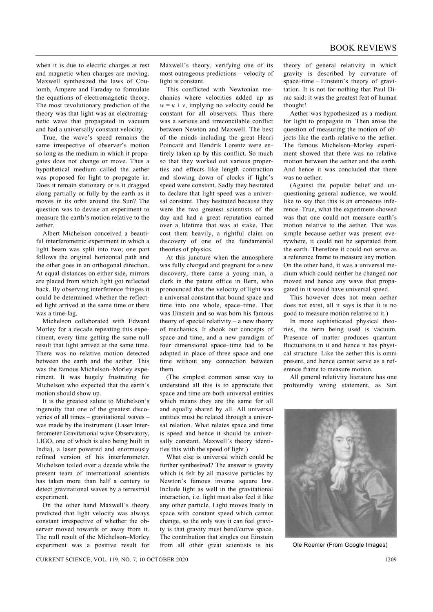when it is due to electric charges at rest and magnetic when charges are moving. Maxwell synthesized the laws of Coulomb, Ampere and Faraday to formulate the equations of electromagnetic theory. The most revolutionary prediction of the theory was that light was an electromagnetic wave that propagated in vacuum and had a universally constant velocity.

 True, the wave's speed remains the same irrespective of observer's motion so long as the medium in which it propagates does not change or move. Thus a hypothetical medium called the aether was proposed for light to propagate in. Does it remain stationary or is it dragged along partially or fully by the earth as it moves in its orbit around the Sun? The question was to devise an experiment to measure the earth's motion relative to the aether.

 Albert Michelson conceived a beautiful interferometric experiment in which a light beam was split into two; one part follows the original horizontal path and the other goes in an orthogonal direction. At equal distances on either side, mirrors are placed from which light got reflected back. By observing interference fringes it could be determined whether the reflected light arrived at the same time or there was a time-lag.

 Michelson collaborated with Edward Morley for a decade repeating this experiment, every time getting the same null result that light arrived at the same time. There was no relative motion detected between the earth and the aether. This was the famous Michelson–Morley experiment. It was hugely frustrating for Michelson who expected that the earth's motion should show up.

 It is the greatest salute to Michelson's ingenuity that one of the greatest discoveries of all times – gravitational waves – was made by the instrument (Laser Interferometer Gravitational wave Observatory, LIGO, one of which is also being built in India), a laser powered and enormously refined version of his interferometer. Michelson toiled over a decade while the present team of international scientists has taken more than half a century to detect gravitational waves by a terrestrial experiment

 On the other hand Maxwell's theory predicted that light velocity was always constant irrespective of whether the observer moved towards or away from it. The null result of the Michelson–Morley experiment was a positive result for

Maxwell's theory, verifying one of its most outrageous predictions – velocity of light is constant.

 This conflicted with Newtonian mechanics where velocities added up as  $w = u + v$ , implying no velocity could be constant for all observers. Thus there was a serious and irreconcilable conflict between Newton and Maxwell. The best of the minds including the great Henri Poincaré and Hendrik Lorentz were entirely taken up by this conflict. So much so that they worked out various properties and effects like length contraction and slowing down of clocks if light's speed were constant. Sadly they hesitated to declare that light speed was a universal constant. They hesitated because they were the two greatest scientists of the day and had a great reputation earned over a lifetime that was at stake. That cost them heavily, a rightful claim on discovery of one of the fundamental theories of physics.

 At this juncture when the atmosphere was fully charged and pregnant for a new discovery, there came a young man, a clerk in the patent office in Bern, who pronounced that the velocity of light was a universal constant that bound space and time into one whole, space–time. That was Einstein and so was born his famous theory of special relativity – a new theory of mechanics. It shook our concepts of space and time, and a new paradigm of four dimensional space–time had to be adapted in place of three space and one time without any connection between them.

 (The simplest common sense way to understand all this is to appreciate that space and time are both universal entities which means they are the same for all and equally shared by all. All universal entities must be related through a universal relation. What relates space and time is speed and hence it should be universally constant. Maxwell's theory identifies this with the speed of light.)

 What else is universal which could be further synthesized? The answer is gravity which is felt by all massive particles by Newton's famous inverse square law. Include light as well in the gravitational interaction, i.e. light must also feel it like any other particle. Light moves freely in space with constant speed which cannot change, so the only way it can feel gravity is that gravity must bend/curve space. The contribution that singles out Einstein from all other great scientists is his theory of general relativity in which gravity is described by curvature of space–time – Einstein's theory of gravitation. It is not for nothing that Paul Dirac said: it was the greatest feat of human thought!

 Aether was hypothesized as a medium for light to propagate in. Then arose the question of measuring the motion of objects like the earth relative to the aether. The famous Michelson–Morley experiment showed that there was no relative motion between the aether and the earth. And hence it was concluded that there was no aether.

 (Against the popular belief and unquestioning general audience, we would like to say that this is an erroneous inference. True, what the experiment showed was that one could not measure earth's motion relative to the aether. That was simple because aether was present everywhere, it could not be separated from the earth. Therefore it could not serve as a reference frame to measure any motion. On the other hand, it was a universal medium which could neither be changed nor moved and hence any wave that propagated in it would have universal speed.

 This however does not mean aether does not exist, all it says is that it is no good to measure motion relative to it.)

 In more sophisticated physical theories, the term being used is vacuum. Presence of matter produces quantum fluctuations in it and hence it has physical structure. Like the aether this is omni present, and hence cannot serve as a reference frame to measure motion.

 All general relativity literature has one profoundly wrong statement, as Sun



Ole Roemer (From Google Images)